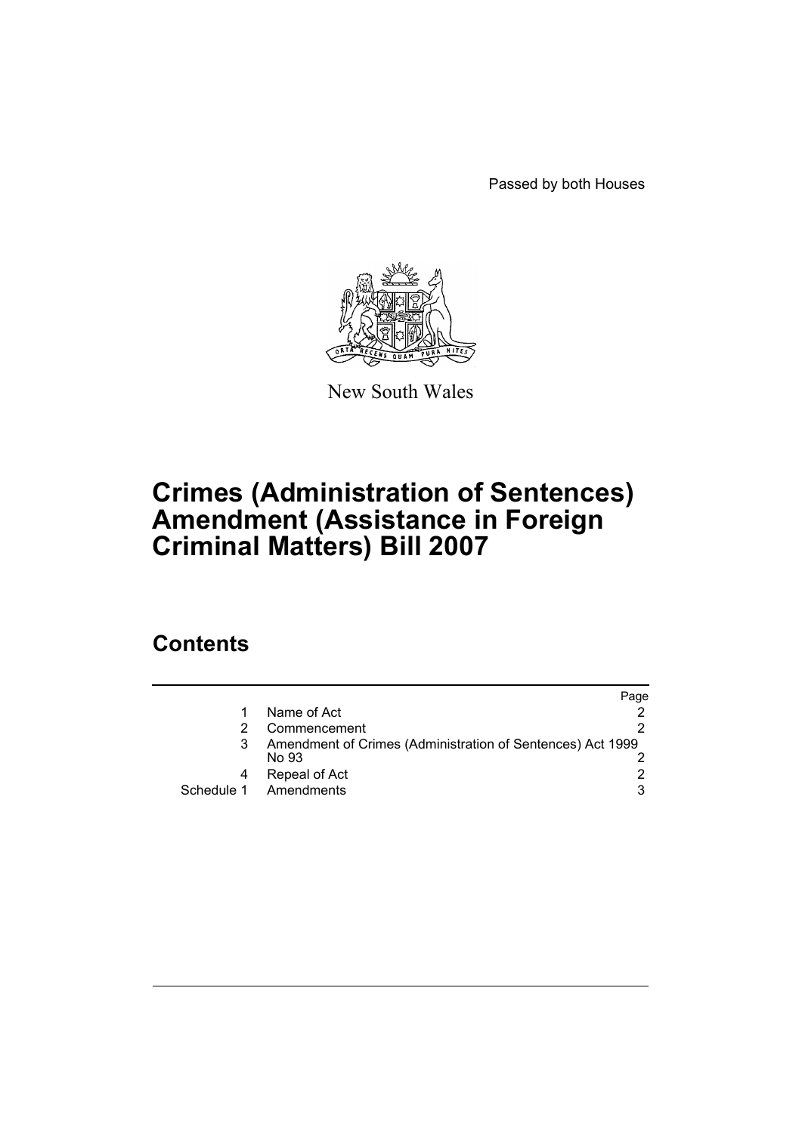Passed by both Houses



New South Wales

# **Crimes (Administration of Sentences) Amendment (Assistance in Foreign Criminal Matters) Bill 2007**

## **Contents**

|                                                                     | Page |
|---------------------------------------------------------------------|------|
| Name of Act                                                         |      |
| Commencement                                                        |      |
| Amendment of Crimes (Administration of Sentences) Act 1999<br>No 93 |      |
| Repeal of Act                                                       |      |
| Schedule 1 Amendments                                               | 3    |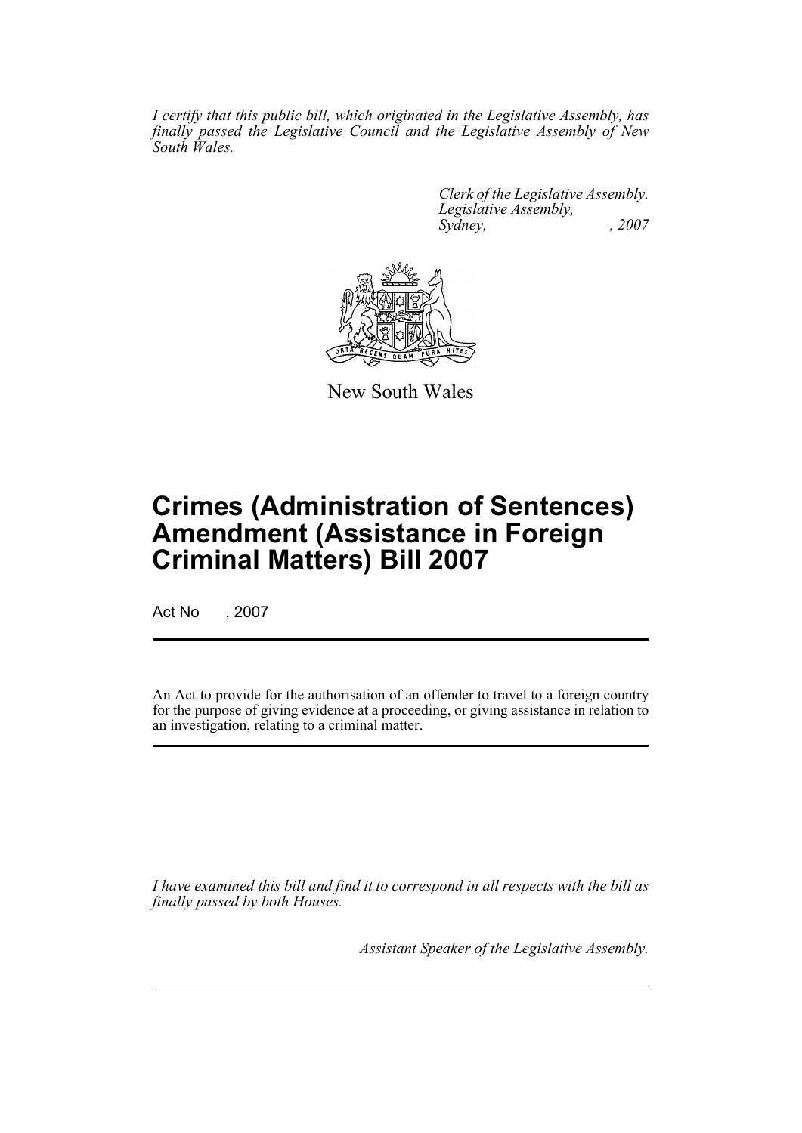*I certify that this public bill, which originated in the Legislative Assembly, has finally passed the Legislative Council and the Legislative Assembly of New South Wales.*

> *Clerk of the Legislative Assembly. Legislative Assembly, Sydney, , 2007*



New South Wales

## **Crimes (Administration of Sentences) Amendment (Assistance in Foreign Criminal Matters) Bill 2007**

Act No , 2007

An Act to provide for the authorisation of an offender to travel to a foreign country for the purpose of giving evidence at a proceeding, or giving assistance in relation to an investigation, relating to a criminal matter.

*I have examined this bill and find it to correspond in all respects with the bill as finally passed by both Houses.*

*Assistant Speaker of the Legislative Assembly.*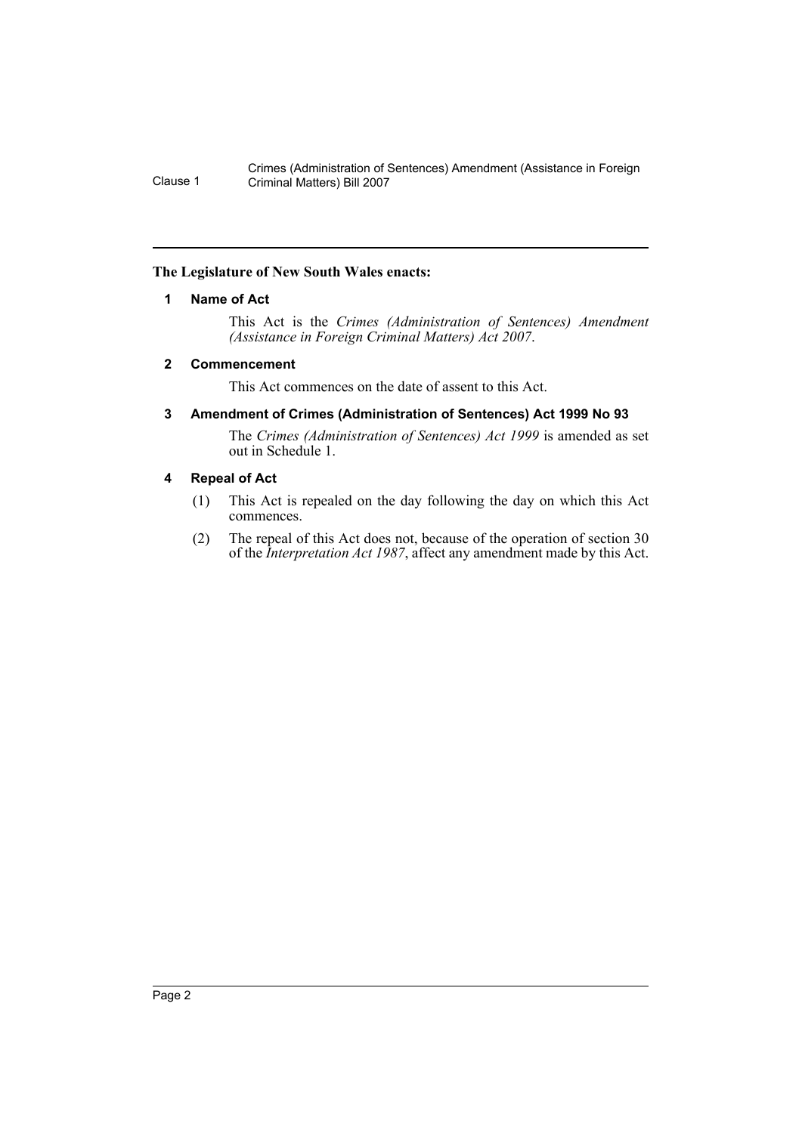Crimes (Administration of Sentences) Amendment (Assistance in Foreign Clause 1 Criminal Matters) Bill 2007

### <span id="page-2-0"></span>**The Legislature of New South Wales enacts:**

### **1 Name of Act**

This Act is the *Crimes (Administration of Sentences) Amendment (Assistance in Foreign Criminal Matters) Act 2007*.

### <span id="page-2-1"></span>**2 Commencement**

This Act commences on the date of assent to this Act.

### <span id="page-2-2"></span>**3 Amendment of Crimes (Administration of Sentences) Act 1999 No 93**

The *Crimes (Administration of Sentences) Act 1999* is amended as set out in Schedule 1.

### <span id="page-2-3"></span>**4 Repeal of Act**

- (1) This Act is repealed on the day following the day on which this Act commences.
- (2) The repeal of this Act does not, because of the operation of section 30 of the *Interpretation Act 1987*, affect any amendment made by this Act.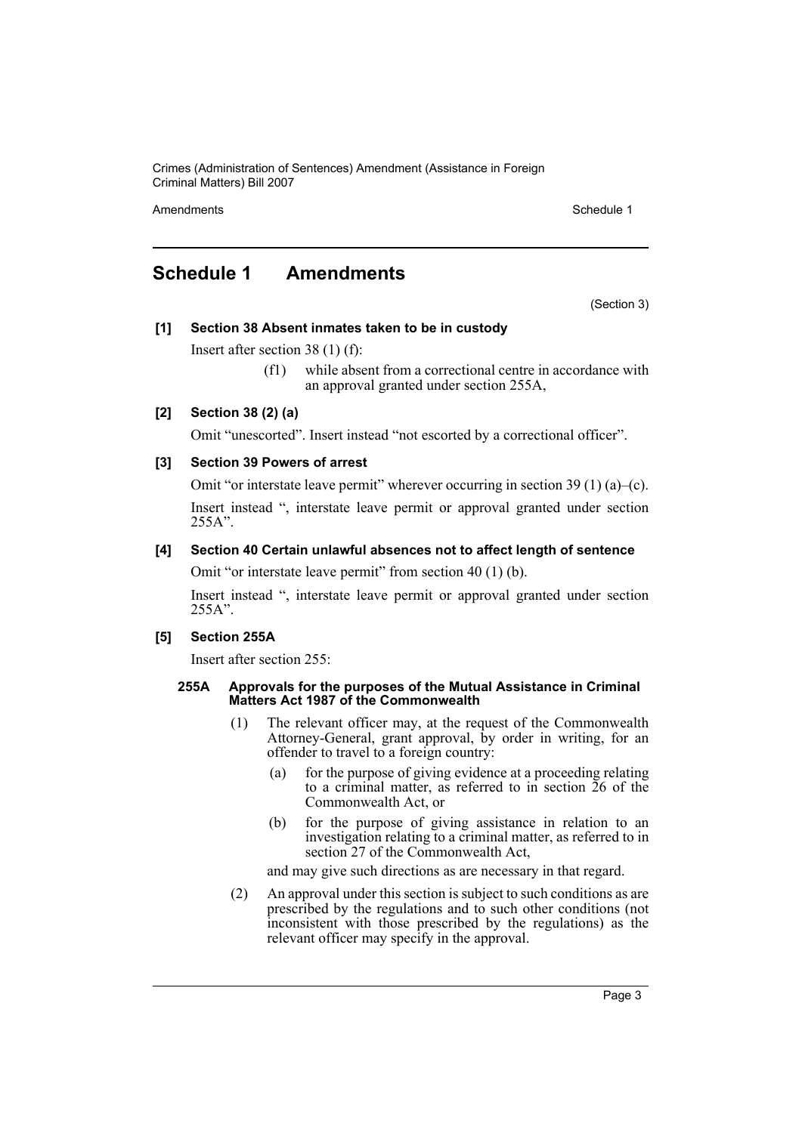Crimes (Administration of Sentences) Amendment (Assistance in Foreign Criminal Matters) Bill 2007

Amendments **Amendments** Schedule 1

### <span id="page-3-0"></span>**Schedule 1 Amendments**

(Section 3)

### **[1] Section 38 Absent inmates taken to be in custody**

Insert after section 38 (1) (f):

(f1) while absent from a correctional centre in accordance with an approval granted under section 255A,

### **[2] Section 38 (2) (a)**

Omit "unescorted". Insert instead "not escorted by a correctional officer".

### **[3] Section 39 Powers of arrest**

Omit "or interstate leave permit" wherever occurring in section 39 (1) (a)–(c). Insert instead ", interstate leave permit or approval granted under section 255A".

### **[4] Section 40 Certain unlawful absences not to affect length of sentence**

Omit "or interstate leave permit" from section 40 (1) (b).

Insert instead ", interstate leave permit or approval granted under section 255A".

### **[5] Section 255A**

Insert after section 255:

#### **255A Approvals for the purposes of the Mutual Assistance in Criminal Matters Act 1987 of the Commonwealth**

- (1) The relevant officer may, at the request of the Commonwealth Attorney-General, grant approval, by order in writing, for an offender to travel to a foreign country:
	- (a) for the purpose of giving evidence at a proceeding relating to a criminal matter, as referred to in section 26 of the Commonwealth Act, or
	- (b) for the purpose of giving assistance in relation to an investigation relating to a criminal matter, as referred to in section 27 of the Commonwealth Act,
	- and may give such directions as are necessary in that regard.
- (2) An approval under this section is subject to such conditions as are prescribed by the regulations and to such other conditions (not inconsistent with those prescribed by the regulations) as the relevant officer may specify in the approval.